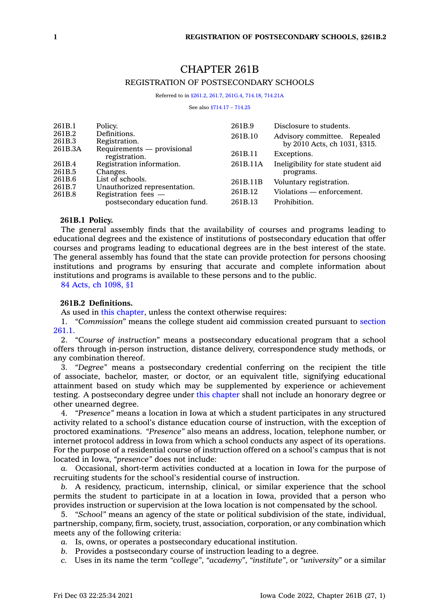# CHAPTER 261B REGISTRATION OF POSTSECONDARY SCHOOLS

Referred to in [§261.2](https://www.legis.iowa.gov/docs/code/261.2.pdf), [261.7](https://www.legis.iowa.gov/docs/code/261.7.pdf), [261G.4](https://www.legis.iowa.gov/docs/code/261G.4.pdf), [714.18](https://www.legis.iowa.gov/docs/code/714.18.pdf), [714.21A](https://www.legis.iowa.gov/docs/code/714.21A.pdf)

See also [§714.17](https://www.legis.iowa.gov/docs/code/714.17.pdf) – 714.25

| 261B.1            | Policy.                                               | 261B.9   | Disclosure to students.             |
|-------------------|-------------------------------------------------------|----------|-------------------------------------|
| 261B.2            | Definitions.                                          | 261B.10  | Advisory committee. Repealed        |
| 261B.3<br>261B.3A | Registration.<br>Requirements — provisional           |          | by 2010 Acts, ch 1031, §315.        |
|                   | registration.                                         | 261B.11  | Exceptions.                         |
| 261B.4            | Registration information.                             | 261B.11A | Ineligibility for state student aid |
| 261B.5            | Changes.                                              |          | programs.                           |
| 261B.6            | List of schools.                                      | 261B.11B | Voluntary registration.             |
| 261B.7<br>261B.8  | Unauthorized representation.<br>Registration fees $-$ | 261B.12  | Violations — enforcement.           |
|                   | postsecondary education fund.                         | 261B.13  | Prohibition.                        |

## **261B.1 Policy.**

The general assembly finds that the availability of courses and programs leading to educational degrees and the existence of institutions of postsecondary education that offer courses and programs leading to educational degrees are in the best interest of the state. The general assembly has found that the state can provide protection for persons choosing institutions and programs by ensuring that accurate and complete information about institutions and programs is available to these persons and to the public.

84 Acts, ch [1098,](https://www.legis.iowa.gov/docs/acts/1984/CH1098.pdf) §1

# **261B.2 Definitions.**

As used in this [chapter](https://www.legis.iowa.gov/docs/code//261B.pdf), unless the context otherwise requires:

1. *"Commission"* means the college student aid commission created pursuant to [section](https://www.legis.iowa.gov/docs/code/261.1.pdf) [261.1](https://www.legis.iowa.gov/docs/code/261.1.pdf).

2. *"Course of instruction"* means <sup>a</sup> postsecondary educational program that <sup>a</sup> school offers through in-person instruction, distance delivery, correspondence study methods, or any combination thereof.

3. *"Degree"* means <sup>a</sup> postsecondary credential conferring on the recipient the title of associate, bachelor, master, or doctor, or an equivalent title, signifying educational attainment based on study which may be supplemented by experience or achievement testing. A postsecondary degree under this [chapter](https://www.legis.iowa.gov/docs/code//261B.pdf) shall not include an honorary degree or other unearned degree.

4. *"Presence"* means <sup>a</sup> location in Iowa at which <sup>a</sup> student participates in any structured activity related to <sup>a</sup> school's distance education course of instruction, with the exception of proctored examinations. *"Presence"* also means an address, location, telephone number, or internet protocol address in Iowa from which <sup>a</sup> school conducts any aspect of its operations. For the purpose of <sup>a</sup> residential course of instruction offered on <sup>a</sup> school's campus that is not located in Iowa, *"presence"* does not include:

*a.* Occasional, short-term activities conducted at <sup>a</sup> location in Iowa for the purpose of recruiting students for the school's residential course of instruction.

*b.* A residency, practicum, internship, clinical, or similar experience that the school permits the student to participate in at <sup>a</sup> location in Iowa, provided that <sup>a</sup> person who provides instruction or supervision at the Iowa location is not compensated by the school.

5. *"School"* means an agency of the state or political subdivision of the state, individual, partnership, company, firm, society, trust, association, corporation, or any combination which meets any of the following criteria:

*a.* Is, owns, or operates <sup>a</sup> postsecondary educational institution.

*b.* Provides <sup>a</sup> postsecondary course of instruction leading to <sup>a</sup> degree.

*c.* Uses in its name the term *"college"*, *"academy"*, *"institute"*, or *"university"* or <sup>a</sup> similar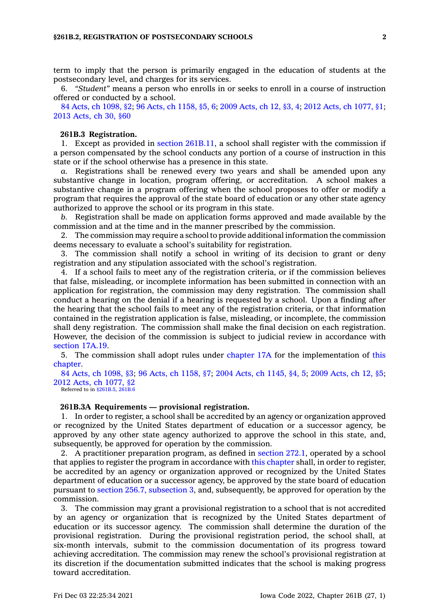term to imply that the person is primarily engaged in the education of students at the postsecondary level, and charges for its services.

6. *"Student"* means <sup>a</sup> person who enrolls in or seeks to enroll in <sup>a</sup> course of instruction offered or conducted by <sup>a</sup> school.

84 Acts, ch [1098,](https://www.legis.iowa.gov/docs/acts/1984/CH1098.pdf) §2; 96 Acts, ch [1158,](https://www.legis.iowa.gov/docs/acts/96/CH1158.pdf) §5, 6; 2009 [Acts,](https://www.legis.iowa.gov/docs/acts/2009/CH0012.pdf) ch 12, §3, 4; 2012 Acts, ch [1077,](https://www.legis.iowa.gov/docs/acts/2012/CH1077.pdf) §1; 2013 [Acts,](https://www.legis.iowa.gov/docs/acts/2013/CH0030.pdf) ch 30, §60

### **261B.3 Registration.**

1. Except as provided in section [261B.11](https://www.legis.iowa.gov/docs/code/261B.11.pdf), <sup>a</sup> school shall register with the commission if <sup>a</sup> person compensated by the school conducts any portion of <sup>a</sup> course of instruction in this state or if the school otherwise has <sup>a</sup> presence in this state.

*a.* Registrations shall be renewed every two years and shall be amended upon any substantive change in location, program offering, or accreditation. A school makes <sup>a</sup> substantive change in <sup>a</sup> program offering when the school proposes to offer or modify <sup>a</sup> program that requires the approval of the state board of education or any other state agency authorized to approve the school or its program in this state.

*b.* Registration shall be made on application forms approved and made available by the commission and at the time and in the manner prescribed by the commission.

2. The commission may require <sup>a</sup> school to provide additional information the commission deems necessary to evaluate <sup>a</sup> school's suitability for registration.

3. The commission shall notify <sup>a</sup> school in writing of its decision to grant or deny registration and any stipulation associated with the school's registration.

4. If <sup>a</sup> school fails to meet any of the registration criteria, or if the commission believes that false, misleading, or incomplete information has been submitted in connection with an application for registration, the commission may deny registration. The commission shall conduct <sup>a</sup> hearing on the denial if <sup>a</sup> hearing is requested by <sup>a</sup> school. Upon <sup>a</sup> finding after the hearing that the school fails to meet any of the registration criteria, or that information contained in the registration application is false, misleading, or incomplete, the commission shall deny registration. The commission shall make the final decision on each registration. However, the decision of the commission is subject to judicial review in accordance with [section](https://www.legis.iowa.gov/docs/code/17A.19.pdf) 17A.19.

5. The commission shall adopt rules under [chapter](https://www.legis.iowa.gov/docs/code//17A.pdf) 17A for the implementation of [this](https://www.legis.iowa.gov/docs/code//261B.pdf) [chapter](https://www.legis.iowa.gov/docs/code//261B.pdf).

84 Acts, ch [1098,](https://www.legis.iowa.gov/docs/acts/1984/CH1098.pdf) §3; 96 Acts, ch [1158,](https://www.legis.iowa.gov/docs/acts/96/CH1158.pdf) §7; 2004 Acts, ch [1145,](https://www.legis.iowa.gov/docs/acts/2004/CH1145.pdf) §4, 5; 2009 [Acts,](https://www.legis.iowa.gov/docs/acts/2009/CH0012.pdf) ch 12, §5; 2012 Acts, ch [1077,](https://www.legis.iowa.gov/docs/acts/2012/CH1077.pdf) §2 Referred to in [§261B.5](https://www.legis.iowa.gov/docs/code/261B.5.pdf), [261B.6](https://www.legis.iowa.gov/docs/code/261B.6.pdf)

#### **261B.3A Requirements — provisional registration.**

1. In order to register, <sup>a</sup> school shall be accredited by an agency or organization approved or recognized by the United States department of education or <sup>a</sup> successor agency, be approved by any other state agency authorized to approve the school in this state, and, subsequently, be approved for operation by the commission.

2. A practitioner preparation program, as defined in [section](https://www.legis.iowa.gov/docs/code/272.1.pdf) 272.1, operated by <sup>a</sup> school that applies to register the program in accordance with this [chapter](https://www.legis.iowa.gov/docs/code//261B.pdf) shall, in order to register, be accredited by an agency or organization approved or recognized by the United States department of education or <sup>a</sup> successor agency, be approved by the state board of education pursuant to section 256.7, [subsection](https://www.legis.iowa.gov/docs/code/256.7.pdf) 3, and, subsequently, be approved for operation by the commission.

3. The commission may grant <sup>a</sup> provisional registration to <sup>a</sup> school that is not accredited by an agency or organization that is recognized by the United States department of education or its successor agency. The commission shall determine the duration of the provisional registration. During the provisional registration period, the school shall, at six-month intervals, submit to the commission documentation of its progress toward achieving accreditation. The commission may renew the school's provisional registration at its discretion if the documentation submitted indicates that the school is making progress toward accreditation.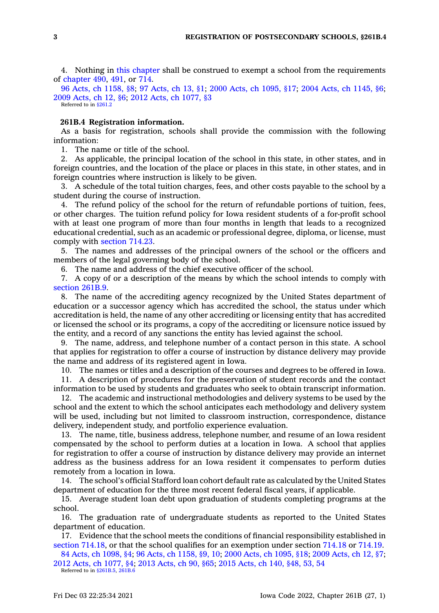4. Nothing in this [chapter](https://www.legis.iowa.gov/docs/code//261B.pdf) shall be construed to exempt <sup>a</sup> school from the requirements of [chapter](https://www.legis.iowa.gov/docs/code//490.pdf) 490, [491](https://www.legis.iowa.gov/docs/code//491.pdf), or [714](https://www.legis.iowa.gov/docs/code//714.pdf).

96 Acts, ch [1158,](https://www.legis.iowa.gov/docs/acts/1996/CH1158.pdf) §8; 97 [Acts,](https://www.legis.iowa.gov/docs/acts/97/CH0013.pdf) ch 13, §1; 2000 Acts, ch [1095,](https://www.legis.iowa.gov/docs/acts/2000/CH1095.pdf) §17; 2004 Acts, ch [1145,](https://www.legis.iowa.gov/docs/acts/2004/CH1145.pdf) §6; 2009 [Acts,](https://www.legis.iowa.gov/docs/acts/2009/CH0012.pdf) ch 12, §6; 2012 Acts, ch [1077,](https://www.legis.iowa.gov/docs/acts/2012/CH1077.pdf) §3 Referred to in [§261.2](https://www.legis.iowa.gov/docs/code/261.2.pdf)

## **261B.4 Registration information.**

As <sup>a</sup> basis for registration, schools shall provide the commission with the following information:

1. The name or title of the school.

2. As applicable, the principal location of the school in this state, in other states, and in foreign countries, and the location of the place or places in this state, in other states, and in foreign countries where instruction is likely to be given.

3. A schedule of the total tuition charges, fees, and other costs payable to the school by <sup>a</sup> student during the course of instruction.

4. The refund policy of the school for the return of refundable portions of tuition, fees, or other charges. The tuition refund policy for Iowa resident students of <sup>a</sup> for-profit school with at least one program of more than four months in length that leads to <sup>a</sup> recognized educational credential, such as an academic or professional degree, diploma, or license, must comply with [section](https://www.legis.iowa.gov/docs/code/714.23.pdf) 714.23.

5. The names and addresses of the principal owners of the school or the officers and members of the legal governing body of the school.

6. The name and address of the chief executive officer of the school.

7. A copy of or <sup>a</sup> description of the means by which the school intends to comply with [section](https://www.legis.iowa.gov/docs/code/261B.9.pdf) 261B.9.

8. The name of the accrediting agency recognized by the United States department of education or <sup>a</sup> successor agency which has accredited the school, the status under which accreditation is held, the name of any other accrediting or licensing entity that has accredited or licensed the school or its programs, <sup>a</sup> copy of the accrediting or licensure notice issued by the entity, and <sup>a</sup> record of any sanctions the entity has levied against the school.

9. The name, address, and telephone number of <sup>a</sup> contact person in this state. A school that applies for registration to offer <sup>a</sup> course of instruction by distance delivery may provide the name and address of its registered agent in Iowa.

10. The names or titles and <sup>a</sup> description of the courses and degrees to be offered in Iowa.

11. A description of procedures for the preservation of student records and the contact information to be used by students and graduates who seek to obtain transcript information.

12. The academic and instructional methodologies and delivery systems to be used by the school and the extent to which the school anticipates each methodology and delivery system will be used, including but not limited to classroom instruction, correspondence, distance delivery, independent study, and portfolio experience evaluation.

13. The name, title, business address, telephone number, and resume of an Iowa resident compensated by the school to perform duties at <sup>a</sup> location in Iowa. A school that applies for registration to offer <sup>a</sup> course of instruction by distance delivery may provide an internet address as the business address for an Iowa resident it compensates to perform duties remotely from <sup>a</sup> location in Iowa.

14. The school's official Stafford loan cohort default rate as calculated by the United States department of education for the three most recent federal fiscal years, if applicable.

15. Average student loan debt upon graduation of students completing programs at the school.

16. The graduation rate of undergraduate students as reported to the United States department of education.

17. Evidence that the school meets the conditions of financial responsibility established in section [714.18](https://www.legis.iowa.gov/docs/code/714.18.pdf), or that the school qualifies for an exemption under section [714.18](https://www.legis.iowa.gov/docs/code/714.18.pdf) or [714.19](https://www.legis.iowa.gov/docs/code/714.19.pdf).

84 Acts, ch [1098,](https://www.legis.iowa.gov/docs/acts/1984/CH1098.pdf) §4; 96 Acts, ch [1158,](https://www.legis.iowa.gov/docs/acts/96/CH1158.pdf) §9, 10; 2000 Acts, ch [1095,](https://www.legis.iowa.gov/docs/acts/2000/CH1095.pdf) §18; 2009 [Acts,](https://www.legis.iowa.gov/docs/acts/2009/CH0012.pdf) ch 12, §7; 2012 Acts, ch [1077,](https://www.legis.iowa.gov/docs/acts/2012/CH1077.pdf) §4; 2013 [Acts,](https://www.legis.iowa.gov/docs/acts/2013/CH0090.pdf) ch 90, §65; 2015 [Acts,](https://www.legis.iowa.gov/docs/acts/2015/CH0140.pdf) ch 140, §48, 53, 54 Referred to in [§261B.5](https://www.legis.iowa.gov/docs/code/261B.5.pdf), [261B.6](https://www.legis.iowa.gov/docs/code/261B.6.pdf)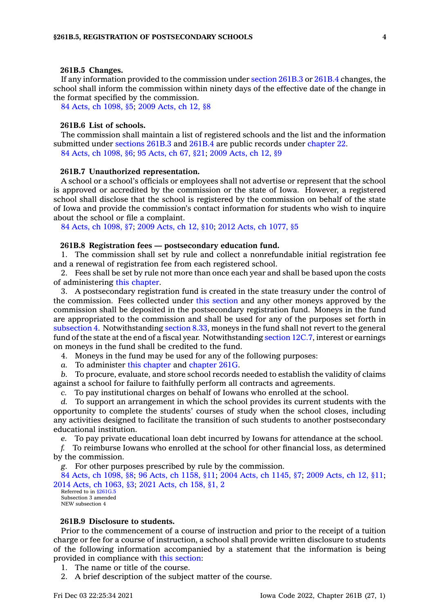### **261B.5 Changes.**

If any information provided to the commission under [section](https://www.legis.iowa.gov/docs/code/261B.3.pdf) 261B.3 or [261B.4](https://www.legis.iowa.gov/docs/code/261B.4.pdf) changes, the school shall inform the commission within ninety days of the effective date of the change in the format specified by the commission.

84 Acts, ch [1098,](https://www.legis.iowa.gov/docs/acts/1984/CH1098.pdf) §5; 2009 [Acts,](https://www.legis.iowa.gov/docs/acts/2009/CH0012.pdf) ch 12, §8

# **261B.6 List of schools.**

The commission shall maintain <sup>a</sup> list of registered schools and the list and the information submitted under [sections](https://www.legis.iowa.gov/docs/code/261B.3.pdf) 261B.3 and [261B.4](https://www.legis.iowa.gov/docs/code/261B.4.pdf) are public records under [chapter](https://www.legis.iowa.gov/docs/code//22.pdf) 22. 84 Acts, ch [1098,](https://www.legis.iowa.gov/docs/acts/1984/CH1098.pdf) §6; 95 [Acts,](https://www.legis.iowa.gov/docs/acts/1995/CH0067.pdf) ch 67, §21; 2009 [Acts,](https://www.legis.iowa.gov/docs/acts/2009/CH0012.pdf) ch 12, §9

#### **261B.7 Unauthorized representation.**

A school or <sup>a</sup> school's officials or employees shall not advertise or represent that the school is approved or accredited by the commission or the state of Iowa. However, <sup>a</sup> registered school shall disclose that the school is registered by the commission on behalf of the state of Iowa and provide the commission's contact information for students who wish to inquire about the school or file <sup>a</sup> complaint.

84 Acts, ch [1098,](https://www.legis.iowa.gov/docs/acts/1984/CH1098.pdf) §7; 2009 [Acts,](https://www.legis.iowa.gov/docs/acts/2009/CH0012.pdf) ch 12, §10; 2012 Acts, ch [1077,](https://www.legis.iowa.gov/docs/acts/2012/CH1077.pdf) §5

### **261B.8 Registration fees — postsecondary education fund.**

1. The commission shall set by rule and collect <sup>a</sup> nonrefundable initial registration fee and <sup>a</sup> renewal of registration fee from each registered school.

2. Fees shall be set by rule not more than once each year and shall be based upon the costs of administering this [chapter](https://www.legis.iowa.gov/docs/code//261B.pdf).

3. A postsecondary registration fund is created in the state treasury under the control of the commission. Fees collected under this [section](https://www.legis.iowa.gov/docs/code/261B.8.pdf) and any other moneys approved by the commission shall be deposited in the postsecondary registration fund. Moneys in the fund are appropriated to the commission and shall be used for any of the purposes set forth in [subsection](https://www.legis.iowa.gov/docs/code/261B.8.pdf) 4. Notwithstanding [section](https://www.legis.iowa.gov/docs/code/8.33.pdf) 8.33, moneys in the fund shall not revert to the general fund of the state at the end of <sup>a</sup> fiscal year. Notwithstanding [section](https://www.legis.iowa.gov/docs/code/12C.7.pdf) 12C.7, interest or earnings on moneys in the fund shall be credited to the fund.

4. Moneys in the fund may be used for any of the following purposes:

*a.* To administer this [chapter](https://www.legis.iowa.gov/docs/code//261B.pdf) and [chapter](https://www.legis.iowa.gov/docs/code//261G.pdf) 261G.

*b.* To procure, evaluate, and store school records needed to establish the validity of claims against <sup>a</sup> school for failure to faithfully perform all contracts and agreements.

*c.* To pay institutional charges on behalf of Iowans who enrolled at the school.

*d.* To support an arrangement in which the school provides its current students with the opportunity to complete the students' courses of study when the school closes, including any activities designed to facilitate the transition of such students to another postsecondary educational institution.

*e.* To pay private educational loan debt incurred by Iowans for attendance at the school.

*f.* To reimburse Iowans who enrolled at the school for other financial loss, as determined by the commission.

*g.* For other purposes prescribed by rule by the commission.

84 Acts, ch [1098,](https://www.legis.iowa.gov/docs/acts/1984/CH1098.pdf) §8; 96 Acts, ch [1158,](https://www.legis.iowa.gov/docs/acts/96/CH1158.pdf) §11; 2004 Acts, ch [1145,](https://www.legis.iowa.gov/docs/acts/2004/CH1145.pdf) §7; 2009 [Acts,](https://www.legis.iowa.gov/docs/acts/2009/CH0012.pdf) ch 12, §11; 2014 Acts, ch [1063,](https://www.legis.iowa.gov/docs/acts/2014/CH1063.pdf) §3; 2021 [Acts,](https://www.legis.iowa.gov/docs/acts/2021/CH0158.pdf) ch 158, §1, 2

Referred to in [§261G.5](https://www.legis.iowa.gov/docs/code/261G.5.pdf) Subsection 3 amended NEW subsection 4

# **261B.9 Disclosure to students.**

Prior to the commencement of <sup>a</sup> course of instruction and prior to the receipt of <sup>a</sup> tuition charge or fee for <sup>a</sup> course of instruction, <sup>a</sup> school shall provide written disclosure to students of the following information accompanied by <sup>a</sup> statement that the information is being provided in compliance with this [section](https://www.legis.iowa.gov/docs/code/261B.9.pdf):

- 1. The name or title of the course.
- 2. A brief description of the subject matter of the course.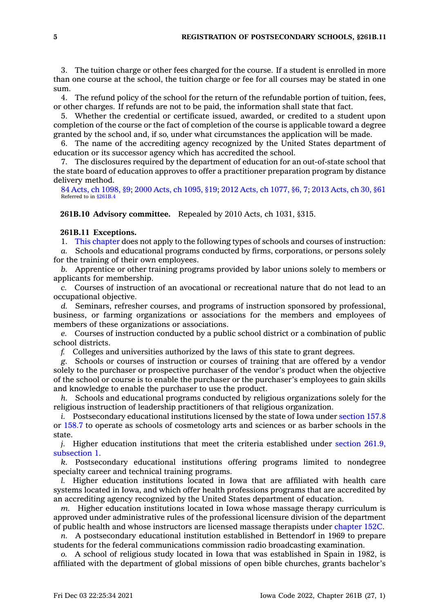3. The tuition charge or other fees charged for the course. If <sup>a</sup> student is enrolled in more than one course at the school, the tuition charge or fee for all courses may be stated in one sum.

4. The refund policy of the school for the return of the refundable portion of tuition, fees, or other charges. If refunds are not to be paid, the information shall state that fact.

5. Whether the credential or certificate issued, awarded, or credited to <sup>a</sup> student upon completion of the course or the fact of completion of the course is applicable toward <sup>a</sup> degree granted by the school and, if so, under what circumstances the application will be made.

6. The name of the accrediting agency recognized by the United States department of education or its successor agency which has accredited the school.

7. The disclosures required by the department of education for an out-of-state school that the state board of education approves to offer <sup>a</sup> practitioner preparation program by distance delivery method.

84 Acts, ch [1098,](https://www.legis.iowa.gov/docs/acts/1984/CH1098.pdf) §9; 2000 Acts, ch [1095,](https://www.legis.iowa.gov/docs/acts/2000/CH1095.pdf) §19; 2012 Acts, ch [1077,](https://www.legis.iowa.gov/docs/acts/2012/CH1077.pdf) §6, 7; 2013 [Acts,](https://www.legis.iowa.gov/docs/acts/2013/CH0030.pdf) ch 30, §61 Referred to in [§261B.4](https://www.legis.iowa.gov/docs/code/261B.4.pdf)

**261B.10 Advisory committee.** Repealed by 2010 Acts, ch 1031, §315.

# **261B.11 Exceptions.**

1. This [chapter](https://www.legis.iowa.gov/docs/code//261B.pdf) does not apply to the following types of schools and courses of instruction:

*a.* Schools and educational programs conducted by firms, corporations, or persons solely for the training of their own employees.

*b.* Apprentice or other training programs provided by labor unions solely to members or applicants for membership.

*c.* Courses of instruction of an avocational or recreational nature that do not lead to an occupational objective.

*d.* Seminars, refresher courses, and programs of instruction sponsored by professional, business, or farming organizations or associations for the members and employees of members of these organizations or associations.

*e.* Courses of instruction conducted by <sup>a</sup> public school district or <sup>a</sup> combination of public school districts.

*f.* Colleges and universities authorized by the laws of this state to grant degrees.

*g.* Schools or courses of instruction or courses of training that are offered by <sup>a</sup> vendor solely to the purchaser or prospective purchaser of the vendor's product when the objective of the school or course is to enable the purchaser or the purchaser's employees to gain skills and knowledge to enable the purchaser to use the product.

*h.* Schools and educational programs conducted by religious organizations solely for the religious instruction of leadership practitioners of that religious organization.

*i.* Postsecondary educational institutions licensed by the state of Iowa under [section](https://www.legis.iowa.gov/docs/code/157.8.pdf) 157.8 or [158.7](https://www.legis.iowa.gov/docs/code/158.7.pdf) to operate as schools of cosmetology arts and sciences or as barber schools in the state.

*j.* Higher education institutions that meet the criteria established under section [261.9,](https://www.legis.iowa.gov/docs/code/261.9.pdf) [subsection](https://www.legis.iowa.gov/docs/code/261.9.pdf) 1.

*k.* Postsecondary educational institutions offering programs limited to nondegree specialty career and technical training programs.

*l.* Higher education institutions located in Iowa that are affiliated with health care systems located in Iowa, and which offer health professions programs that are accredited by an accrediting agency recognized by the United States department of education.

*m.* Higher education institutions located in Iowa whose massage therapy curriculum is approved under administrative rules of the professional licensure division of the department of public health and whose instructors are licensed massage therapists under [chapter](https://www.legis.iowa.gov/docs/code//152C.pdf) 152C.

*n.* A postsecondary educational institution established in Bettendorf in 1969 to prepare students for the federal communications commission radio broadcasting examination.

*o.* A school of religious study located in Iowa that was established in Spain in 1982, is affiliated with the department of global missions of open bible churches, grants bachelor's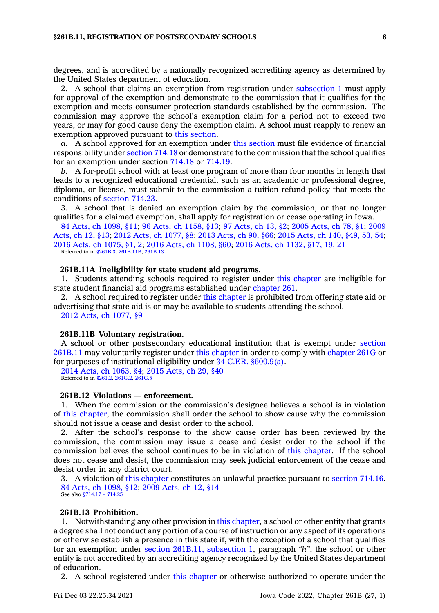degrees, and is accredited by <sup>a</sup> nationally recognized accrediting agency as determined by the United States department of education.

2. A school that claims an exemption from registration under [subsection](https://www.legis.iowa.gov/docs/code/261B.11.pdf) 1 must apply for approval of the exemption and demonstrate to the commission that it qualifies for the exemption and meets consumer protection standards established by the commission. The commission may approve the school's exemption claim for <sup>a</sup> period not to exceed two years, or may for good cause deny the exemption claim. A school must reapply to renew an exemption approved pursuant to this [section](https://www.legis.iowa.gov/docs/code/261B.11.pdf).

*a.* A school approved for an exemption under this [section](https://www.legis.iowa.gov/docs/code/261B.11.pdf) must file evidence of financial responsibility under [section](https://www.legis.iowa.gov/docs/code/714.18.pdf) 714.18 or demonstrate to the commission that the school qualifies for an exemption under section [714.18](https://www.legis.iowa.gov/docs/code/714.18.pdf) or [714.19](https://www.legis.iowa.gov/docs/code/714.19.pdf).

*b.* A for-profit school with at least one program of more than four months in length that leads to <sup>a</sup> recognized educational credential, such as an academic or professional degree, diploma, or license, must submit to the commission <sup>a</sup> tuition refund policy that meets the conditions of [section](https://www.legis.iowa.gov/docs/code/714.23.pdf) 714.23.

3. A school that is denied an exemption claim by the commission, or that no longer qualifies for <sup>a</sup> claimed exemption, shall apply for registration or cease operating in Iowa.

84 Acts, ch [1098,](https://www.legis.iowa.gov/docs/acts/1984/CH1098.pdf) §11; 96 Acts, ch [1158,](https://www.legis.iowa.gov/docs/acts/96/CH1158.pdf) §13; 97 [Acts,](https://www.legis.iowa.gov/docs/acts/97/CH0013.pdf) ch 13, §2; 2005 [Acts,](https://www.legis.iowa.gov/docs/acts/2005/CH0078.pdf) ch 78, §1; [2009](https://www.legis.iowa.gov/docs/acts/2009/CH0012.pdf) [Acts,](https://www.legis.iowa.gov/docs/acts/2009/CH0012.pdf) ch 12, §13; 2012 Acts, ch [1077,](https://www.legis.iowa.gov/docs/acts/2012/CH1077.pdf) §8; 2013 [Acts,](https://www.legis.iowa.gov/docs/acts/2013/CH0090.pdf) ch 90, §66; 2015 [Acts,](https://www.legis.iowa.gov/docs/acts/2015/CH0140.pdf) ch 140, §49, 53, 54; 2016 Acts, ch [1075,](https://www.legis.iowa.gov/docs/acts/2016/CH1075.pdf) §1, 2; 2016 Acts, ch [1108,](https://www.legis.iowa.gov/docs/acts/2016/CH1108.pdf) §60; 2016 Acts, ch [1132,](https://www.legis.iowa.gov/docs/acts/2016/CH1132.pdf) §17, 19, 21 Referred to in [§261B.3](https://www.legis.iowa.gov/docs/code/261B.3.pdf), [261B.11B](https://www.legis.iowa.gov/docs/code/261B.11B.pdf), [261B.13](https://www.legis.iowa.gov/docs/code/261B.13.pdf)

## **261B.11A Ineligibility for state student aid programs.**

1. Students attending schools required to register under this [chapter](https://www.legis.iowa.gov/docs/code//261B.pdf) are ineligible for state student financial aid programs established under [chapter](https://www.legis.iowa.gov/docs/code//261.pdf) 261.

2. A school required to register under this [chapter](https://www.legis.iowa.gov/docs/code//261B.pdf) is prohibited from offering state aid or advertising that state aid is or may be available to students attending the school. 2012 Acts, ch [1077,](https://www.legis.iowa.gov/docs/acts/2012/CH1077.pdf) §9

#### **261B.11B Voluntary registration.**

A school or other postsecondary educational institution that is exempt under [section](https://www.legis.iowa.gov/docs/code/261B.11.pdf) [261B.11](https://www.legis.iowa.gov/docs/code/261B.11.pdf) may voluntarily register under this [chapter](https://www.legis.iowa.gov/docs/code//261B.pdf) in order to comply with [chapter](https://www.legis.iowa.gov/docs/code//261G.pdf) 261G or for purposes of institutional eligibility under 34 C.F.R. [§600.9\(a\)](https://www.law.cornell.edu/cfr/text/34/600.9).

2014 Acts, ch [1063,](https://www.legis.iowa.gov/docs/acts/2014/CH1063.pdf) §4; 2015 [Acts,](https://www.legis.iowa.gov/docs/acts/2015/CH0029.pdf) ch 29, §40 Referred to in [§261.2](https://www.legis.iowa.gov/docs/code/261.2.pdf), [261G.2](https://www.legis.iowa.gov/docs/code/261G.2.pdf), [261G.5](https://www.legis.iowa.gov/docs/code/261G.5.pdf)

# **261B.12 Violations — enforcement.**

1. When the commission or the commission's designee believes <sup>a</sup> school is in violation of this [chapter](https://www.legis.iowa.gov/docs/code//261B.pdf), the commission shall order the school to show cause why the commission should not issue <sup>a</sup> cease and desist order to the school.

2. After the school's response to the show cause order has been reviewed by the commission, the commission may issue <sup>a</sup> cease and desist order to the school if the commission believes the school continues to be in violation of this [chapter](https://www.legis.iowa.gov/docs/code//261B.pdf). If the school does not cease and desist, the commission may seek judicial enforcement of the cease and desist order in any district court.

3. A violation of this [chapter](https://www.legis.iowa.gov/docs/code//261B.pdf) constitutes an unlawful practice pursuant to [section](https://www.legis.iowa.gov/docs/code/714.16.pdf) 714.16. 84 Acts, ch [1098,](https://www.legis.iowa.gov/docs/acts/1984/CH1098.pdf) §12; 2009 [Acts,](https://www.legis.iowa.gov/docs/acts/2009/CH0012.pdf) ch 12, §14 See also [§714.17](https://www.legis.iowa.gov/docs/code/714.17.pdf) – 714.25

# **261B.13 Prohibition.**

1. Notwithstanding any other provision in this [chapter](https://www.legis.iowa.gov/docs/code//261B.pdf), <sup>a</sup> school or other entity that grants <sup>a</sup> degree shall not conduct any portion of <sup>a</sup> course of instruction or any aspect of its operations or otherwise establish <sup>a</sup> presence in this state if, with the exception of <sup>a</sup> school that qualifies for an exemption under section 261B.11, [subsection](https://www.legis.iowa.gov/docs/code/261B.11.pdf) 1, paragraph *"h"*, the school or other entity is not accredited by an accrediting agency recognized by the United States department of education.

2. A school registered under this [chapter](https://www.legis.iowa.gov/docs/code//261B.pdf) or otherwise authorized to operate under the